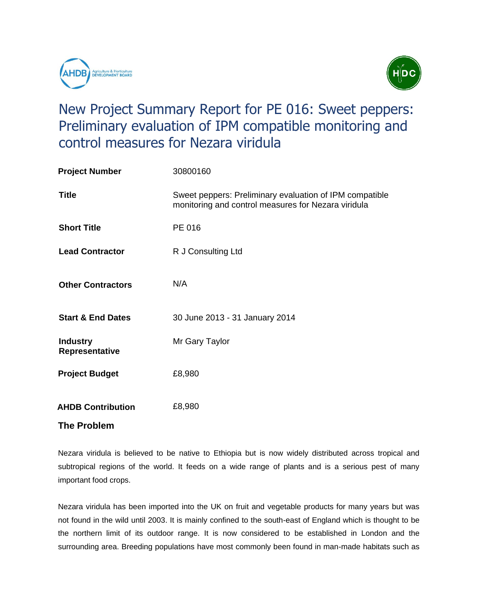

important food crops.



## New Project Summary Report for PE 016: Sweet peppers: Preliminary evaluation of IPM compatible monitoring and control measures for Nezara viridula

| <b>Project Number</b>             | 30800160                                                                                                       |
|-----------------------------------|----------------------------------------------------------------------------------------------------------------|
| <b>Title</b>                      | Sweet peppers: Preliminary evaluation of IPM compatible<br>monitoring and control measures for Nezara viridula |
| <b>Short Title</b>                | PE 016                                                                                                         |
| <b>Lead Contractor</b>            | R J Consulting Ltd                                                                                             |
| <b>Other Contractors</b>          | N/A                                                                                                            |
| <b>Start &amp; End Dates</b>      | 30 June 2013 - 31 January 2014                                                                                 |
| <b>Industry</b><br>Representative | Mr Gary Taylor                                                                                                 |
| <b>Project Budget</b>             | £8,980                                                                                                         |
| <b>AHDB Contribution</b>          | £8,980                                                                                                         |
| <b>The Problem</b>                |                                                                                                                |

## Nezara viridula is believed to be native to Ethiopia but is now widely distributed across tropical and subtropical regions of the world. It feeds on a wide range of plants and is a serious pest of many

Nezara viridula has been imported into the UK on fruit and vegetable products for many years but was not found in the wild until 2003. It is mainly confined to the south-east of England which is thought to be the northern limit of its outdoor range. It is now considered to be established in London and the surrounding area. Breeding populations have most commonly been found in man-made habitats such as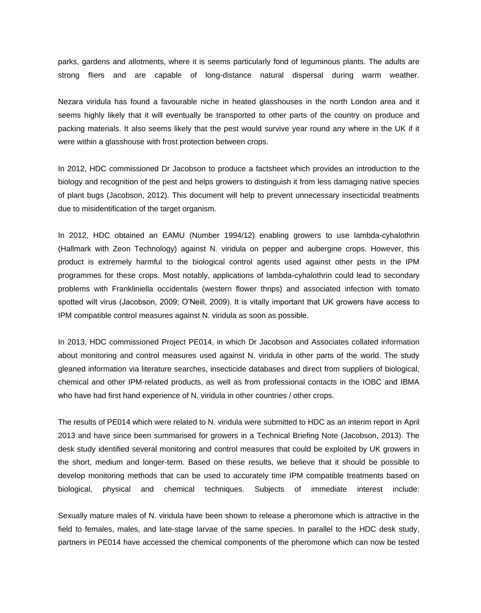parks, gardens and allotments, where it is seems particularly fond of leguminous plants. The adults are strong fliers and are capable of long-distance natural dispersal during warm weather.

Nezara viridula has found a favourable niche in heated glasshouses in the north London area and it seems highly likely that it will eventually be transported to other parts of the country on produce and packing materials. It also seems likely that the pest would survive year round any where in the UK if it were within a glasshouse with frost protection between crops.

In 2012, HDC commissioned Dr Jacobson to produce a factsheet which provides an introduction to the biology and recognition of the pest and helps growers to distinguish it from less damaging native species of plant bugs (Jacobson, 2012). This document will help to prevent unnecessary insecticidal treatments due to misidentification of the target organism.

In 2012, HDC obtained an EAMU (Number 1994/12) enabling growers to use lambda-cyhalothrin (Hallmark with Zeon Technology) against N. viridula on pepper and aubergine crops. However, this product is extremely harmful to the biological control agents used against other pests in the IPM programmes for these crops. Most notably, applications of lambda-cyhalothrin could lead to secondary problems with Frankliniella occidentalis (western flower thrips) and associated infection with tomato spotted wilt virus (Jacobson, 2009; O'Neill, 2009). It is vitally important that UK growers have access to IPM compatible control measures against N. viridula as soon as possible.

In 2013, HDC commissioned Project PE014, in which Dr Jacobson and Associates collated information about monitoring and control measures used against N. viridula in other parts of the world. The study gleaned information via literature searches, insecticide databases and direct from suppliers of biological, chemical and other IPM-related products, as well as from professional contacts in the IOBC and IBMA who have had first hand experience of N. viridula in other countries / other crops.

The results of PE014 which were related to N. viridula were submitted to HDC as an interim report in April 2013 and have since been summarised for growers in a Technical Briefing Note (Jacobson, 2013). The desk study identified several monitoring and control measures that could be exploited by UK growers in the short, medium and longer-term. Based on these results, we believe that it should be possible to develop monitoring methods that can be used to accurately time IPM compatible treatments based on biological, physical and chemical techniques. Subjects of immediate interest include:

Sexually mature males of N. viridula have been shown to release a pheromone which is attractive in the field to females, males, and late-stage larvae of the same species. In parallel to the HDC desk study, partners in PE014 have accessed the chemical components of the pheromone which can now be tested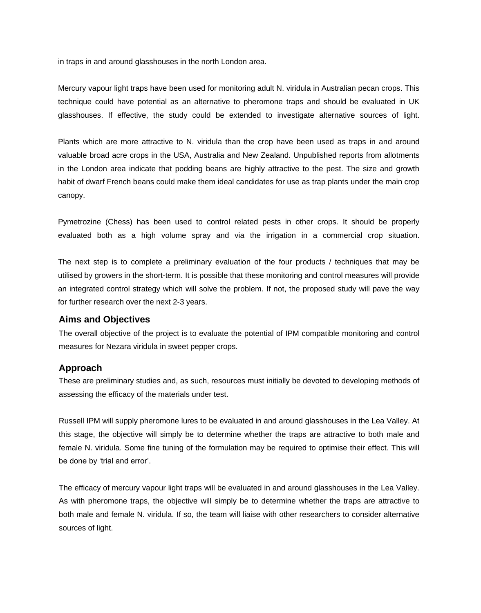in traps in and around glasshouses in the north London area.

Mercury vapour light traps have been used for monitoring adult N. viridula in Australian pecan crops. This technique could have potential as an alternative to pheromone traps and should be evaluated in UK glasshouses. If effective, the study could be extended to investigate alternative sources of light.

Plants which are more attractive to N. viridula than the crop have been used as traps in and around valuable broad acre crops in the USA, Australia and New Zealand. Unpublished reports from allotments in the London area indicate that podding beans are highly attractive to the pest. The size and growth habit of dwarf French beans could make them ideal candidates for use as trap plants under the main crop canopy.

Pymetrozine (Chess) has been used to control related pests in other crops. It should be properly evaluated both as a high volume spray and via the irrigation in a commercial crop situation.

The next step is to complete a preliminary evaluation of the four products / techniques that may be utilised by growers in the short-term. It is possible that these monitoring and control measures will provide an integrated control strategy which will solve the problem. If not, the proposed study will pave the way for further research over the next 2-3 years.

## **Aims and Objectives**

The overall objective of the project is to evaluate the potential of IPM compatible monitoring and control measures for Nezara viridula in sweet pepper crops.

## **Approach**

These are preliminary studies and, as such, resources must initially be devoted to developing methods of assessing the efficacy of the materials under test.

Russell IPM will supply pheromone lures to be evaluated in and around glasshouses in the Lea Valley. At this stage, the objective will simply be to determine whether the traps are attractive to both male and female N. viridula. Some fine tuning of the formulation may be required to optimise their effect. This will be done by 'trial and error'.

The efficacy of mercury vapour light traps will be evaluated in and around glasshouses in the Lea Valley. As with pheromone traps, the objective will simply be to determine whether the traps are attractive to both male and female N. viridula. If so, the team will liaise with other researchers to consider alternative sources of light.